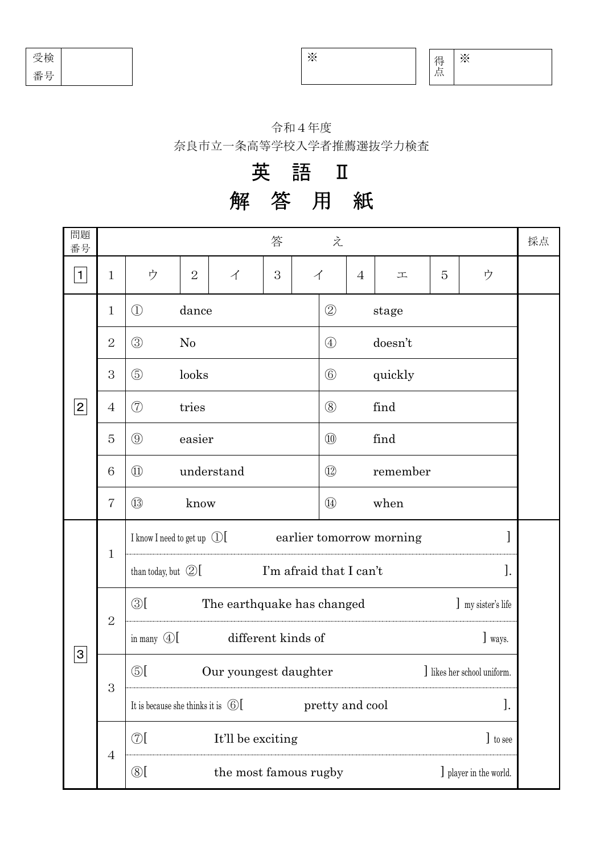| 受検      |  |
|---------|--|
| ヒー<br>ᄌ |  |

※ ※

得 点

## 令和4年度

奈良市立一条高等学校入学者推薦選抜学力検査

## 解 答 用 紙 英 語 Ⅱ

| 問題<br>番号       |                |                                                                    |                |                       | 答 |   | え              |                |          |   |                           | 採点 |
|----------------|----------------|--------------------------------------------------------------------|----------------|-----------------------|---|---|----------------|----------------|----------|---|---------------------------|----|
| $\mathbf{1}$   | $\mathbf{1}$   | ゥ                                                                  | $\overline{2}$ | $\overrightarrow{1}$  | 3 | イ |                | $\overline{4}$ | 工        | 5 | ウ                         |    |
| 2              | $\mathbf{1}$   | $\bigcirc$                                                         | dance          |                       |   |   | $\circled{2}$  |                | stage    |   |                           |    |
|                | $\overline{2}$ | $\circled{3}$<br>No                                                |                |                       |   |   | $\bigcirc$     |                | doesn't  |   |                           |    |
|                | 3              | $\circledS$<br>looks                                               |                |                       |   |   | $\circled{6}$  |                | quickly  |   |                           |    |
|                | $\overline{4}$ | $\circled{7}$<br>tries                                             |                |                       |   |   | (8)            |                | find     |   |                           |    |
|                | 5              | $\circled{0}$<br>easier                                            |                |                       |   |   | $\circled{10}$ |                | find     |   |                           |    |
|                | 6              | $\textcircled{\scriptsize{1}}$<br>understand                       |                |                       |   |   | $\circled{12}$ |                | remember |   |                           |    |
|                | $\overline{7}$ | $\left( 13\right)$                                                 | know           |                       |   |   | $\circled{4}$  |                | when     |   |                           |    |
| $\overline{3}$ |                | I know I need to get up $\mathbb{D}$ [<br>earlier tomorrow morning |                |                       |   |   |                |                |          |   |                           |    |
|                | $\mathbf{1}$   | I'm afraid that I can't<br>than today, but $\mathcal{D}$ [         |                |                       |   |   |                |                |          |   | ].                        |    |
|                | $\overline{2}$ | $\circledS$ [<br>The earthquake has changed<br>] my sister's life  |                |                       |   |   |                |                |          |   |                           |    |
|                |                | in many $\mathbb{Q}$ [<br>different kinds of<br>] ways.            |                |                       |   |   |                |                |          |   |                           |    |
|                | 3              | $\circledS$ [<br>Our youngest daughter                             |                |                       |   |   |                |                |          |   | likes her school uniform. |    |
|                |                | ].<br>It is because she thinks it is $\odot$ [<br>pretty and cool  |                |                       |   |   |                |                |          |   |                           |    |
|                |                | $\circled{7}$<br>It'll be exciting                                 |                |                       |   |   |                |                |          |   | ] to see                  |    |
|                | $\overline{4}$ | $\circledS$                                                        |                | the most famous rugby |   |   |                |                |          |   | J player in the world.    |    |